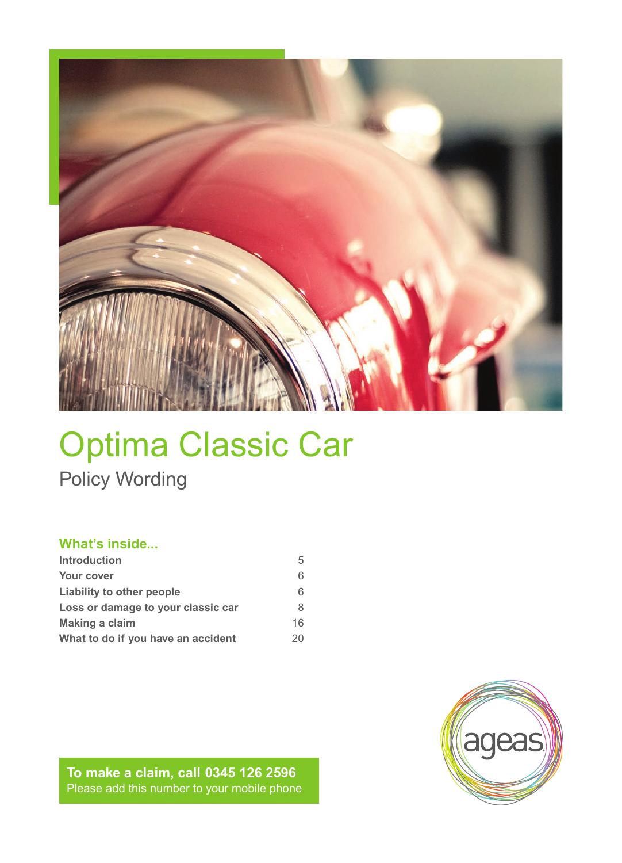

# Optima Classic Car Policy Wording

# **What's inside...**

| <b>Introduction</b>                | 5  |
|------------------------------------|----|
| Your cover                         | 6  |
| Liability to other people          | 6  |
| Loss or damage to your classic car | 8  |
| <b>Making a claim</b>              | 16 |
| What to do if you have an accident | 20 |

**To make a claim, call 0345 126 2596** Please add this number to your mobile phone

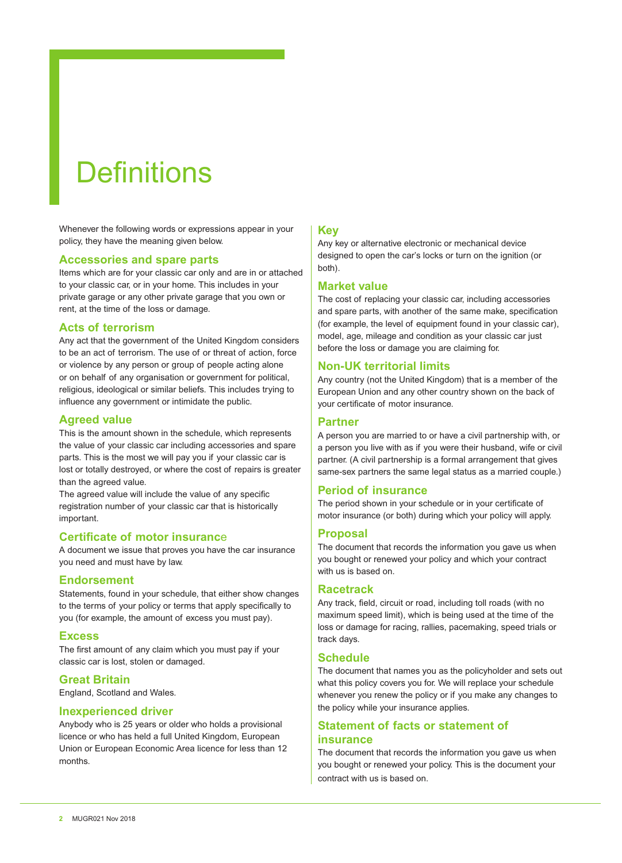# **Definitions**

Whenever the following words or expressions appear in your policy, they have the meaning given below.

#### **Accessories and spare parts**

Items which are for your classic car only and are in or attached to your classic car, or in your home. This includes in your private garage or any other private garage that you own or rent, at the time of the loss or damage.

## **Acts of terrorism**

Any act that the government of the United Kingdom considers to be an act of terrorism. The use of or threat of action, force or violence by any person or group of people acting alone or on behalf of any organisation or government for political, religious, ideological or similar beliefs. This includes trying to influence any government or intimidate the public.

## **Agreed value**

This is the amount shown in the schedule, which represents the value of your classic car including accessories and spare parts. This is the most we will pay you if your classic car is lost or totally destroyed, or where the cost of repairs is greater than the agreed value.

The agreed value will include the value of any specific registration number of your classic car that is historically important.

#### **Certificate of motor insuranc**e

A document we issue that proves you have the car insurance you need and must have by law.

#### **Endorsement**

Statements, found in your schedule, that either show changes to the terms of your policy or terms that apply specifically to you (for example, the amount of excess you must pay).

#### **Excess**

The first amount of any claim which you must pay if your classic car is lost, stolen or damaged.

### **Great Britain**

England, Scotland and Wales.

#### **Inexperienced driver**

Anybody who is 25 years or older who holds a provisional licence or who has held a full United Kingdom, European Union or European Economic Area licence for less than 12 months.

#### **Key**

Any key or alternative electronic or mechanical device designed to open the car's locks or turn on the ignition (or both).

#### **Market value**

The cost of replacing your classic car, including accessories and spare parts, with another of the same make, specification (for example, the level of equipment found in your classic car), model, age, mileage and condition as your classic car just before the loss or damage you are claiming for.

## **Non-UK territorial limits**

Any country (not the United Kingdom) that is a member of the European Union and any other country shown on the back of your certificate of motor insurance.

### **Partner**

A person you are married to or have a civil partnership with, or a person you live with as if you were their husband, wife or civil partner. (A civil partnership is a formal arrangement that gives same-sex partners the same legal status as a married couple.)

#### **Period of insurance**

The period shown in your schedule or in your certificate of motor insurance (or both) during which your policy will apply.

#### **Proposal**

The document that records the information you gave us when you bought or renewed your policy and which your contract with us is based on.

#### **Racetrack**

Any track, field, circuit or road, including toll roads (with no maximum speed limit), which is being used at the time of the loss or damage for racing, rallies, pacemaking, speed trials or track days.

#### **Schedule**

The document that names you as the policyholder and sets out what this policy covers you for. We will replace your schedule whenever you renew the policy or if you make any changes to the policy while your insurance applies.

# **Statement of facts or statement of insurance**

The document that records the information you gave us when you bought or renewed your policy. This is the document your contract with us is based on.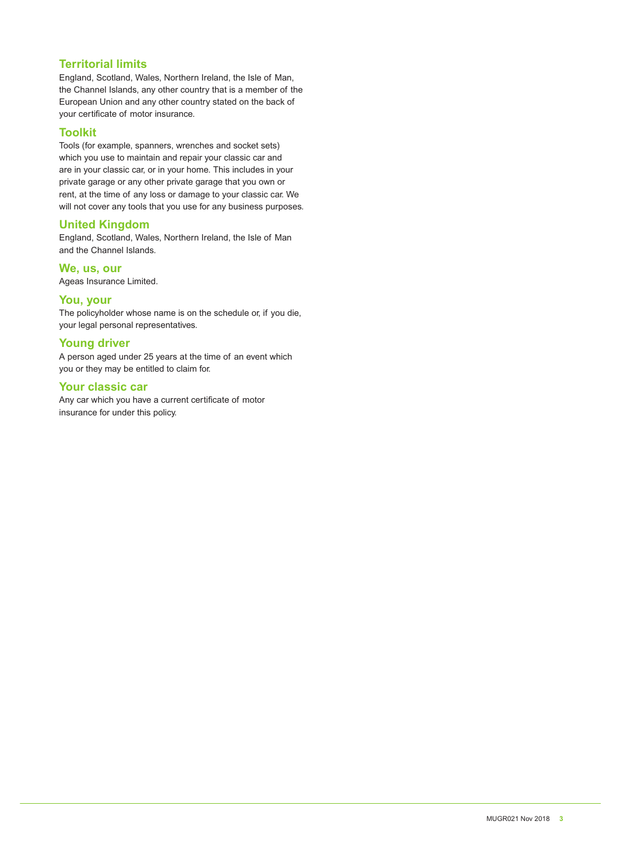# **Territorial limits**

England, Scotland, Wales, Northern Ireland, the Isle of Man, the Channel Islands, any other country that is a member of the European Union and any other country stated on the back of your certificate of motor insurance.

# **Toolkit**

Tools (for example, spanners, wrenches and socket sets) which you use to maintain and repair your classic car and are in your classic car, or in your home. This includes in your private garage or any other private garage that you own or rent, at the time of any loss or damage to your classic car. We will not cover any tools that you use for any business purposes.

# **United Kingdom**

England, Scotland, Wales, Northern Ireland, the Isle of Man and the Channel Islands.

**We, us, our**  Ageas Insurance Limited.

# **You, your**

The policyholder whose name is on the schedule or, if you die, your legal personal representatives.

## **Young driver**

A person aged under 25 years at the time of an event which you or they may be entitled to claim for.

# **Your classic car**

Any car which you have a current certificate of motor insurance for under this policy.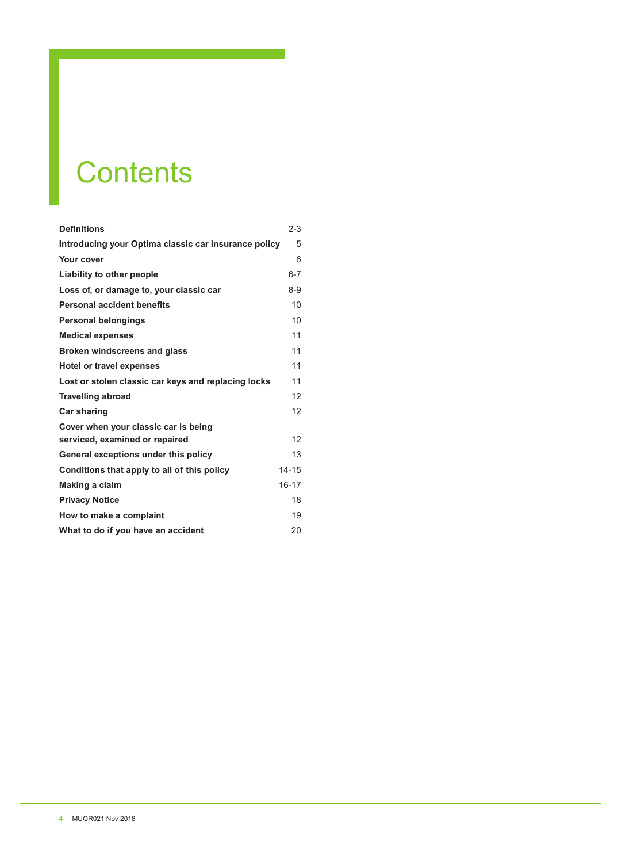# **Contents**

| <b>Definitions</b>                                   | $2 - 3$   |
|------------------------------------------------------|-----------|
| Introducing your Optima classic car insurance policy | 5         |
| Your cover                                           | 6         |
| Liability to other people                            | $6 - 7$   |
| Loss of, or damage to, your classic car              | $8 - 9$   |
| <b>Personal accident benefits</b>                    | 10        |
| <b>Personal belongings</b>                           | 10        |
| <b>Medical expenses</b>                              | 11        |
| <b>Broken windscreens and glass</b>                  | 11        |
| Hotel or travel expenses                             | 11        |
| Lost or stolen classic car keys and replacing locks  | 11        |
| <b>Travelling abroad</b>                             | 12        |
| <b>Car sharing</b>                                   | 12        |
| Cover when your classic car is being                 |           |
| serviced, examined or repaired                       | 12        |
| General exceptions under this policy                 | 13        |
| Conditions that apply to all of this policy          | $14 - 15$ |
| <b>Making a claim</b>                                | $16 - 17$ |
| <b>Privacy Notice</b>                                | 18        |
| How to make a complaint                              | 19        |
| What to do if you have an accident                   | 20        |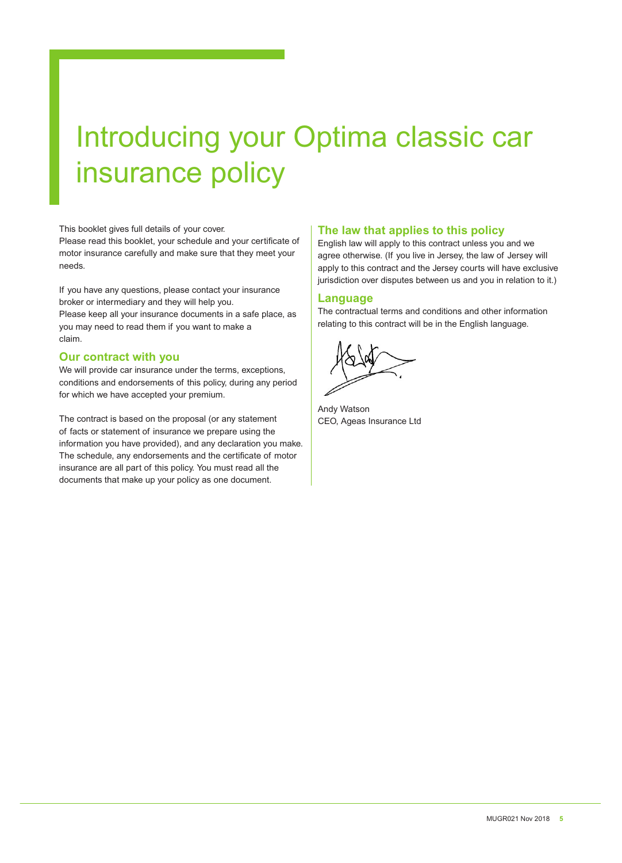# Introducing your Optima classic car insurance policy

This booklet gives full details of your cover.

Please read this booklet, your schedule and your certificate of motor insurance carefully and make sure that they meet your needs.

If you have any questions, please contact your insurance broker or intermediary and they will help you.

Please keep all your insurance documents in a safe place, as you may need to read them if you want to make a claim.

#### **Our contract with you**

We will provide car insurance under the terms, exceptions, conditions and endorsements of this policy, during any period for which we have accepted your premium.

The contract is based on the proposal (or any statement of facts or statement of insurance we prepare using the information you have provided), and any declaration you make. The schedule, any endorsements and the certificate of motor insurance are all part of this policy. You must read all the documents that make up your policy as one document.

# **The law that applies to this policy**

English law will apply to this contract unless you and we agree otherwise. (If you live in Jersey, the law of Jersey will apply to this contract and the Jersey courts will have exclusive jurisdiction over disputes between us and you in relation to it.)

## **Language**

The contractual terms and conditions and other information relating to this contract will be in the English language.

Andy Watson CEO, Ageas Insurance Ltd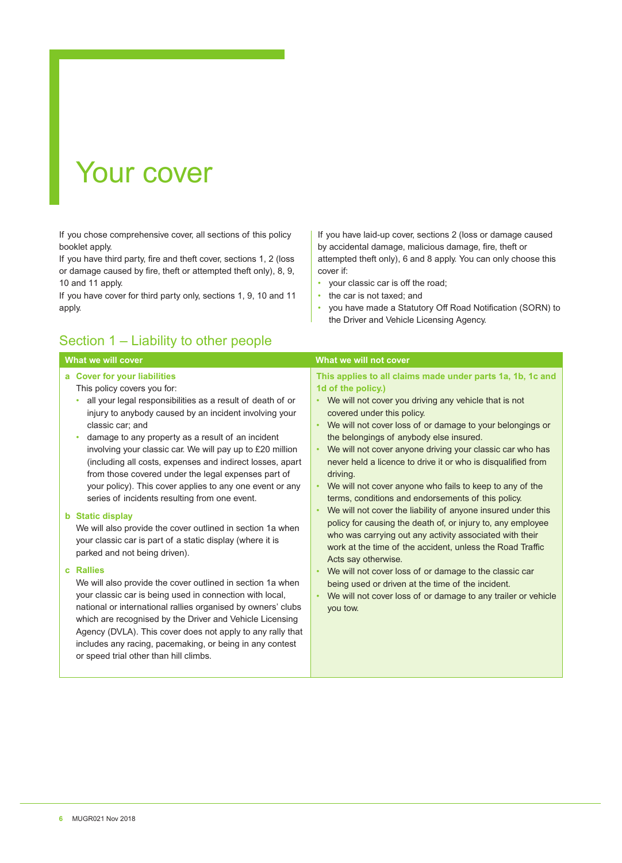# Your cover

If you chose comprehensive cover, all sections of this policy booklet apply.

If you have third party, fire and theft cover, sections 1, 2 (loss or damage caused by fire, theft or attempted theft only), 8, 9, 10 and 11 apply.

If you have cover for third party only, sections 1, 9, 10 and 11 apply.

# Section 1 – Liability to other people

### If you have laid-up cover, sections 2 (loss or damage caused by accidental damage, malicious damage, fire, theft or attempted theft only), 6 and 8 apply. You can only choose this cover if:

- your classic car is off the road;
- the car is not taxed; and
- you have made a Statutory Off Road Notification (SORN) to the Driver and Vehicle Licensing Agency.

| What we will cover                                                                                                                                                                                                                                                                                                                                                                                                                                                                                                                                                                                                                                                                                                                                                                                                                                                                                                                                                                                                                                                                                                                                                                                    | What we will not cover                                                                                                                                                                                                                                                                                                                                                                                                                                                                                                                                                                                                                                                                                                                                                                                                                                                                                                                                                                                                                                                                  |
|-------------------------------------------------------------------------------------------------------------------------------------------------------------------------------------------------------------------------------------------------------------------------------------------------------------------------------------------------------------------------------------------------------------------------------------------------------------------------------------------------------------------------------------------------------------------------------------------------------------------------------------------------------------------------------------------------------------------------------------------------------------------------------------------------------------------------------------------------------------------------------------------------------------------------------------------------------------------------------------------------------------------------------------------------------------------------------------------------------------------------------------------------------------------------------------------------------|-----------------------------------------------------------------------------------------------------------------------------------------------------------------------------------------------------------------------------------------------------------------------------------------------------------------------------------------------------------------------------------------------------------------------------------------------------------------------------------------------------------------------------------------------------------------------------------------------------------------------------------------------------------------------------------------------------------------------------------------------------------------------------------------------------------------------------------------------------------------------------------------------------------------------------------------------------------------------------------------------------------------------------------------------------------------------------------------|
| a Cover for your liabilities<br>This policy covers you for:<br>all your legal responsibilities as a result of death of or<br>injury to anybody caused by an incident involving your<br>classic car: and<br>damage to any property as a result of an incident<br>$\bullet$<br>involving your classic car. We will pay up to £20 million<br>(including all costs, expenses and indirect losses, apart<br>from those covered under the legal expenses part of<br>your policy). This cover applies to any one event or any<br>series of incidents resulting from one event.<br><b>b</b> Static display<br>We will also provide the cover outlined in section 1a when<br>your classic car is part of a static display (where it is<br>parked and not being driven).<br>c Rallies<br>We will also provide the cover outlined in section 1a when<br>your classic car is being used in connection with local,<br>national or international rallies organised by owners' clubs<br>which are recognised by the Driver and Vehicle Licensing<br>Agency (DVLA). This cover does not apply to any rally that<br>includes any racing, pacemaking, or being in any contest<br>or speed trial other than hill climbs. | This applies to all claims made under parts 1a, 1b, 1c and<br>1d of the policy.)<br>• We will not cover you driving any vehicle that is not<br>covered under this policy.<br>We will not cover loss of or damage to your belongings or<br>$\bullet$<br>the belongings of anybody else insured.<br>We will not cover anyone driving your classic car who has<br>$\bullet$<br>never held a licence to drive it or who is disqualified from<br>driving.<br>We will not cover anyone who fails to keep to any of the<br>terms, conditions and endorsements of this policy.<br>We will not cover the liability of anyone insured under this<br>$\bullet$<br>policy for causing the death of, or injury to, any employee<br>who was carrying out any activity associated with their<br>work at the time of the accident, unless the Road Traffic<br>Acts say otherwise.<br>We will not cover loss of or damage to the classic car<br>$\bullet$<br>being used or driven at the time of the incident.<br>We will not cover loss of or damage to any trailer or vehicle<br>$\bullet$<br>you tow. |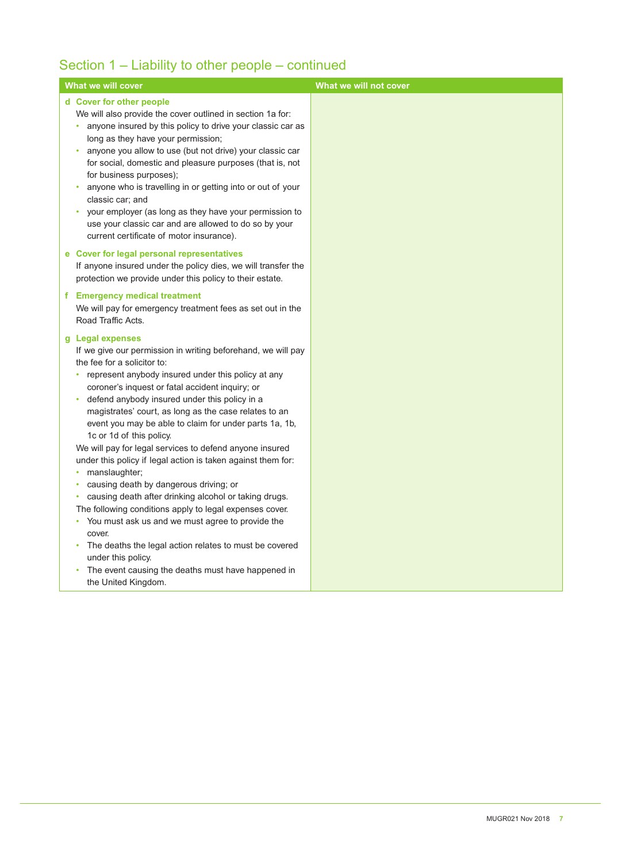# Section 1 – Liability to other people – continued

| What we will cover                                                                                                                                                                                                                                                                                                                                                                                                                                                                                                                                                                                                                                                                                                                                                                                                                                                                                                     | What we will not cover |
|------------------------------------------------------------------------------------------------------------------------------------------------------------------------------------------------------------------------------------------------------------------------------------------------------------------------------------------------------------------------------------------------------------------------------------------------------------------------------------------------------------------------------------------------------------------------------------------------------------------------------------------------------------------------------------------------------------------------------------------------------------------------------------------------------------------------------------------------------------------------------------------------------------------------|------------------------|
| d Cover for other people<br>We will also provide the cover outlined in section 1a for:<br>anyone insured by this policy to drive your classic car as<br>long as they have your permission;<br>anyone you allow to use (but not drive) your classic car<br>٠<br>for social, domestic and pleasure purposes (that is, not<br>for business purposes);<br>anyone who is travelling in or getting into or out of your<br>٠<br>classic car; and<br>your employer (as long as they have your permission to<br>$\bullet$<br>use your classic car and are allowed to do so by your<br>current certificate of motor insurance).                                                                                                                                                                                                                                                                                                  |                        |
| e Cover for legal personal representatives<br>If anyone insured under the policy dies, we will transfer the<br>protection we provide under this policy to their estate.                                                                                                                                                                                                                                                                                                                                                                                                                                                                                                                                                                                                                                                                                                                                                |                        |
| f Emergency medical treatment<br>We will pay for emergency treatment fees as set out in the<br>Road Traffic Acts.                                                                                                                                                                                                                                                                                                                                                                                                                                                                                                                                                                                                                                                                                                                                                                                                      |                        |
| g Legal expenses<br>If we give our permission in writing beforehand, we will pay<br>the fee for a solicitor to:<br>represent anybody insured under this policy at any<br>٠<br>coroner's inquest or fatal accident inquiry; or<br>defend anybody insured under this policy in a<br>$\bullet$<br>magistrates' court, as long as the case relates to an<br>event you may be able to claim for under parts 1a, 1b,<br>1c or 1d of this policy.<br>We will pay for legal services to defend anyone insured<br>under this policy if legal action is taken against them for:<br>manslaughter;<br>٠<br>causing death by dangerous driving; or<br>٠<br>causing death after drinking alcohol or taking drugs.<br>The following conditions apply to legal expenses cover.<br>You must ask us and we must agree to provide the<br>٠<br>cover.<br>The deaths the legal action relates to must be covered<br>٠<br>under this policy. |                        |
| The event causing the deaths must have happened in<br>$\bullet$<br>the United Kingdom.                                                                                                                                                                                                                                                                                                                                                                                                                                                                                                                                                                                                                                                                                                                                                                                                                                 |                        |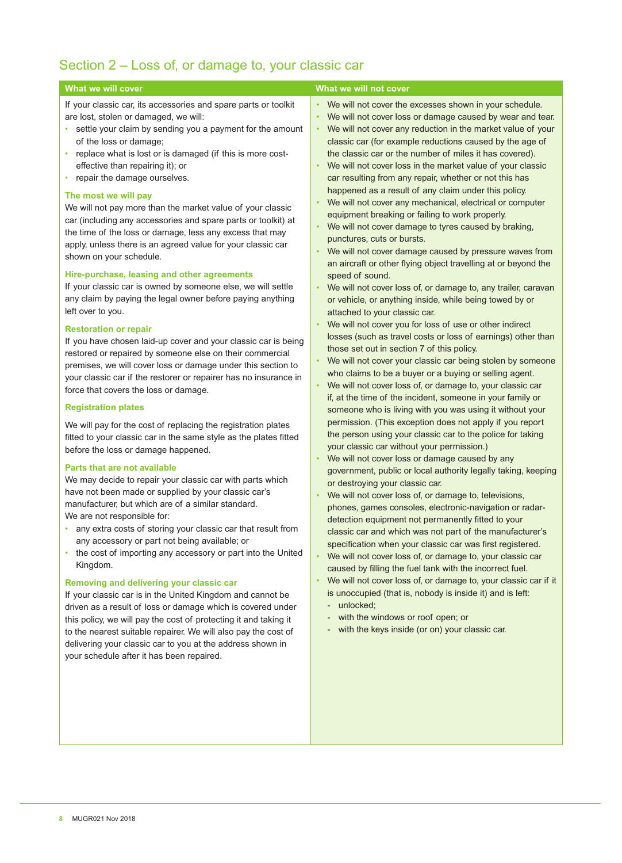# Section 2 – Loss of, or damage to, your classic car

If your classic car, its accessories and spare parts or toolkit are lost, stolen or damaged, we will:

- settle your claim by sending you a payment for the amount of the loss or damage;
- replace what is lost or is damaged (if this is more costeffective than repairing it); or
- repair the damage ourselves.

#### **The most we will pay**

We will not pay more than the market value of your classic car (including any accessories and spare parts or toolkit) at the time of the loss or damage, less any excess that may apply, unless there is an agreed value for your classic car shown on your schedule.

#### **Hire-purchase, leasing and other agreements**

If your classic car is owned by someone else, we will settle any claim by paying the legal owner before paying anything left over to you.

#### **Restoration or repair**

If you have chosen laid-up cover and your classic car is being restored or repaired by someone else on their commercial premises, we will cover loss or damage under this section to your classic car if the restorer or repairer has no insurance in force that covers the loss or damage.

#### **Registration plates**

We will pay for the cost of replacing the registration plates fitted to your classic car in the same style as the plates fitted before the loss or damage happened.

#### **Parts that are not available**

We may decide to repair your classic car with parts which have not been made or supplied by your classic car's manufacturer, but which are of a similar standard. We are not responsible for:

- any extra costs of storing your classic car that result from any accessory or part not being available; or
- the cost of importing any accessory or part into the United Kingdom.

#### **Removing and delivering your classic car**

If your classic car is in the United Kingdom and cannot be driven as a result of loss or damage which is covered under this policy, we will pay the cost of protecting it and taking it to the nearest suitable repairer. We will also pay the cost of delivering your classic car to you at the address shown in your schedule after it has been repaired.

#### **What we will cover What we will cover** What we will not cover

• We will not cover the excesses shown in your schedule.

- We will not cover loss or damage caused by wear and tear.
- We will not cover any reduction in the market value of your classic car (for example reductions caused by the age of the classic car or the number of miles it has covered).
- We will not cover loss in the market value of your classic car resulting from any repair, whether or not this has happened as a result of any claim under this policy.
- We will not cover any mechanical, electrical or computer equipment breaking or failing to work properly.
- We will not cover damage to tyres caused by braking, punctures, cuts or bursts.
- We will not cover damage caused by pressure waves from an aircraft or other flying object travelling at or beyond the speed of sound.
- We will not cover loss of, or damage to, any trailer, caravan or vehicle, or anything inside, while being towed by or attached to your classic car.
- We will not cover you for loss of use or other indirect losses (such as travel costs or loss of earnings) other than those set out in section 7 of this policy.
- We will not cover your classic car being stolen by someone who claims to be a buyer or a buying or selling agent.
- We will not cover loss of, or damage to, your classic car if, at the time of the incident, someone in your family or someone who is living with you was using it without your permission. (This exception does not apply if you report the person using your classic car to the police for taking your classic car without your permission.)
- We will not cover loss or damage caused by any government, public or local authority legally taking, keeping or destroying your classic car.
- We will not cover loss of, or damage to, televisions, phones, games consoles, electronic-navigation or radardetection equipment not permanently fitted to your classic car and which was not part of the manufacturer's specification when your classic car was first registered.
- We will not cover loss of, or damage to, your classic car caused by filling the fuel tank with the incorrect fuel.
- We will not cover loss of, or damage to, your classic car if it is unoccupied (that is, nobody is inside it) and is left:
	- unlocked;
	- with the windows or roof open; or
	- with the keys inside (or on) your classic car.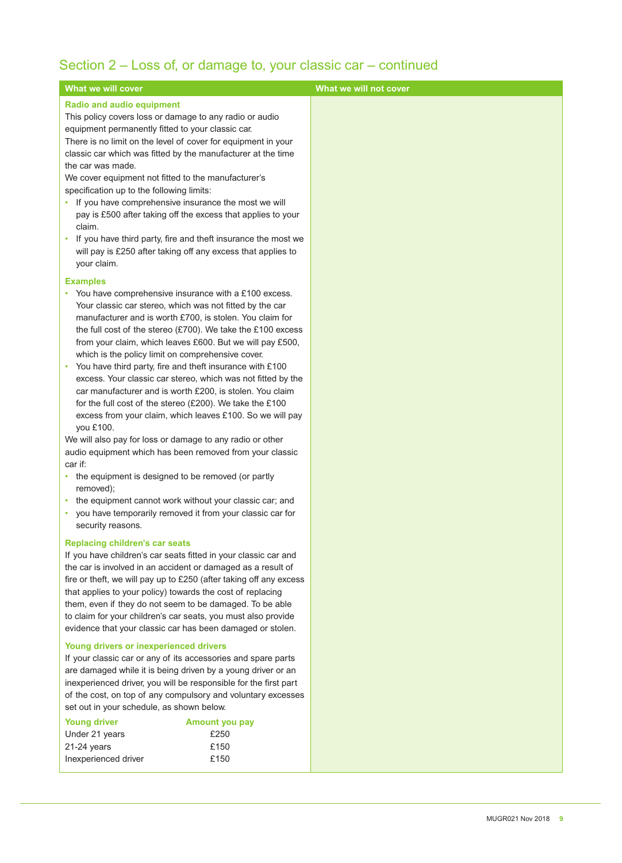# Section 2 – Loss of, or damage to, your classic car – continued

| What we will cover                                                                                                            | What we will not cover |
|-------------------------------------------------------------------------------------------------------------------------------|------------------------|
| <b>Radio and audio equipment</b>                                                                                              |                        |
| This policy covers loss or damage to any radio or audio                                                                       |                        |
| equipment permanently fitted to your classic car.                                                                             |                        |
| There is no limit on the level of cover for equipment in your                                                                 |                        |
| classic car which was fitted by the manufacturer at the time<br>the car was made.                                             |                        |
| We cover equipment not fitted to the manufacturer's                                                                           |                        |
| specification up to the following limits:                                                                                     |                        |
| • If you have comprehensive insurance the most we will                                                                        |                        |
| pay is £500 after taking off the excess that applies to your                                                                  |                        |
| claim.                                                                                                                        |                        |
| • If you have third party, fire and theft insurance the most we                                                               |                        |
| will pay is £250 after taking off any excess that applies to                                                                  |                        |
| your claim.                                                                                                                   |                        |
| <b>Examples</b>                                                                                                               |                        |
| • You have comprehensive insurance with a £100 excess.                                                                        |                        |
| Your classic car stereo, which was not fitted by the car                                                                      |                        |
| manufacturer and is worth £700, is stolen. You claim for                                                                      |                        |
| the full cost of the stereo (£700). We take the £100 excess                                                                   |                        |
| from your claim, which leaves £600. But we will pay £500,<br>which is the policy limit on comprehensive cover.                |                        |
| • You have third party, fire and theft insurance with £100                                                                    |                        |
| excess. Your classic car stereo, which was not fitted by the                                                                  |                        |
| car manufacturer and is worth £200, is stolen. You claim                                                                      |                        |
| for the full cost of the stereo (£200). We take the £100                                                                      |                        |
| excess from your claim, which leaves £100. So we will pay                                                                     |                        |
| you £100.                                                                                                                     |                        |
| We will also pay for loss or damage to any radio or other                                                                     |                        |
| audio equipment which has been removed from your classic<br>car if:                                                           |                        |
| • the equipment is designed to be removed (or partly                                                                          |                        |
| removed);                                                                                                                     |                        |
| • the equipment cannot work without your classic car; and                                                                     |                        |
| you have temporarily removed it from your classic car for                                                                     |                        |
| security reasons.                                                                                                             |                        |
| <b>Replacing children's car seats</b>                                                                                         |                        |
| If you have children's car seats fitted in your classic car and                                                               |                        |
| the car is involved in an accident or damaged as a result of                                                                  |                        |
| fire or theft, we will pay up to £250 (after taking off any excess                                                            |                        |
| that applies to your policy) towards the cost of replacing                                                                    |                        |
| them, even if they do not seem to be damaged. To be able                                                                      |                        |
| to claim for your children's car seats, you must also provide<br>evidence that your classic car has been damaged or stolen.   |                        |
|                                                                                                                               |                        |
| <b>Young drivers or inexperienced drivers</b>                                                                                 |                        |
| If your classic car or any of its accessories and spare parts<br>are damaged while it is being driven by a young driver or an |                        |
| inexperienced driver, you will be responsible for the first part                                                              |                        |
| of the cost, on top of any compulsory and voluntary excesses                                                                  |                        |
| set out in your schedule, as shown below.                                                                                     |                        |
| <b>Young driver</b><br>Amount you pay                                                                                         |                        |
| Under 21 years<br>£250                                                                                                        |                        |
| £150<br>21-24 years                                                                                                           |                        |
| £150<br>Inexperienced driver                                                                                                  |                        |
|                                                                                                                               |                        |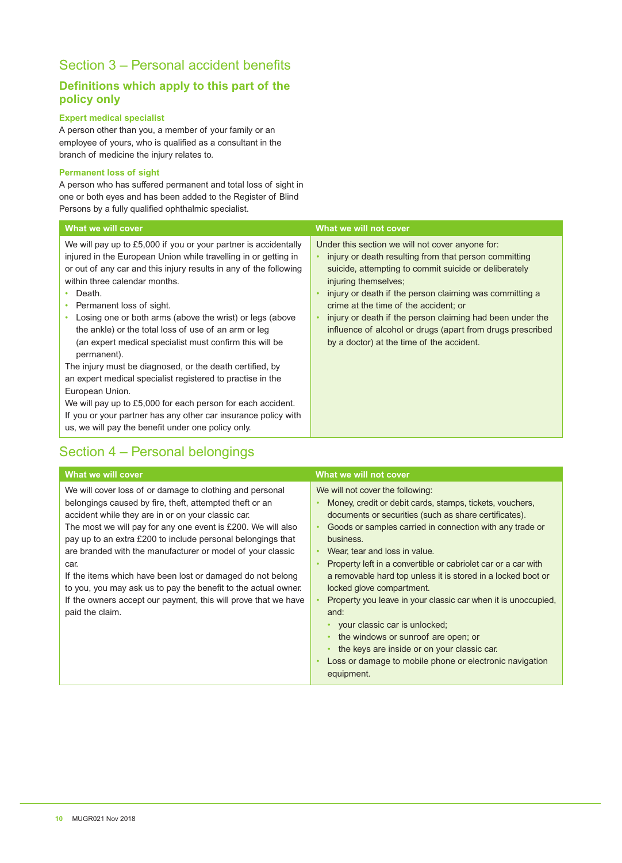# Section 3 – Personal accident benefits

# **Definitions which apply to this part of the policy only**

## **Expert medical specialist**

A person other than you, a member of your family or an employee of yours, who is qualified as a consultant in the branch of medicine the injury relates to.

#### **Permanent loss of sight**

A person who has suffered permanent and total loss of sight in one or both eyes and has been added to the Register of Blind Persons by a fully qualified ophthalmic specialist.

| What we will cover                                                                                                                                                                                                                                                                                                                                                                                                                                                                                                                                                                                                                                                                                                                                                                                               | What we will not cover                                                                                                                                                                                                                                                                                                                                                                                                                                                                           |
|------------------------------------------------------------------------------------------------------------------------------------------------------------------------------------------------------------------------------------------------------------------------------------------------------------------------------------------------------------------------------------------------------------------------------------------------------------------------------------------------------------------------------------------------------------------------------------------------------------------------------------------------------------------------------------------------------------------------------------------------------------------------------------------------------------------|--------------------------------------------------------------------------------------------------------------------------------------------------------------------------------------------------------------------------------------------------------------------------------------------------------------------------------------------------------------------------------------------------------------------------------------------------------------------------------------------------|
| We will pay up to £5,000 if you or your partner is accidentally<br>injured in the European Union while travelling in or getting in<br>or out of any car and this injury results in any of the following<br>within three calendar months.<br>Death.<br>Permanent loss of sight.<br>Losing one or both arms (above the wrist) or legs (above<br>the ankle) or the total loss of use of an arm or leg<br>(an expert medical specialist must confirm this will be<br>permanent).<br>The injury must be diagnosed, or the death certified, by<br>an expert medical specialist registered to practise in the<br>European Union.<br>We will pay up to £5,000 for each person for each accident.<br>If you or your partner has any other car insurance policy with<br>us, we will pay the benefit under one policy only. | Under this section we will not cover anyone for:<br>injury or death resulting from that person committing<br>$\bullet$<br>suicide, attempting to commit suicide or deliberately<br>injuring themselves;<br>injury or death if the person claiming was committing a<br>$\bullet$<br>crime at the time of the accident; or<br>injury or death if the person claiming had been under the<br>influence of alcohol or drugs (apart from drugs prescribed<br>by a doctor) at the time of the accident. |

# Section 4 – Personal belongings

| What we will cover                                                                                                                                                                                                                                                                                                                                                                                                                                                                                                                                                                                  | What we will not cover                                                                                                                                                                                                                                                                                                                                                                                                                                                                                                                                                                                                                                                                                                                                     |
|-----------------------------------------------------------------------------------------------------------------------------------------------------------------------------------------------------------------------------------------------------------------------------------------------------------------------------------------------------------------------------------------------------------------------------------------------------------------------------------------------------------------------------------------------------------------------------------------------------|------------------------------------------------------------------------------------------------------------------------------------------------------------------------------------------------------------------------------------------------------------------------------------------------------------------------------------------------------------------------------------------------------------------------------------------------------------------------------------------------------------------------------------------------------------------------------------------------------------------------------------------------------------------------------------------------------------------------------------------------------------|
| We will cover loss of or damage to clothing and personal<br>belongings caused by fire, theft, attempted theft or an<br>accident while they are in or on your classic car.<br>The most we will pay for any one event is £200. We will also<br>pay up to an extra £200 to include personal belongings that<br>are branded with the manufacturer or model of your classic<br>car.<br>If the items which have been lost or damaged do not belong<br>to you, you may ask us to pay the benefit to the actual owner.<br>If the owners accept our payment, this will prove that we have<br>paid the claim. | We will not cover the following:<br>Money, credit or debit cards, stamps, tickets, vouchers,<br>documents or securities (such as share certificates).<br>Goods or samples carried in connection with any trade or<br>$\bullet$<br>business.<br>Wear, tear and loss in value.<br>$\bullet$<br>Property left in a convertible or cabriolet car or a car with<br>$\bullet$<br>a removable hard top unless it is stored in a locked boot or<br>locked glove compartment.<br>Property you leave in your classic car when it is unoccupied,<br>and:<br>your classic car is unlocked;<br>the windows or sunroof are open; or<br>the keys are inside or on your classic car.<br>Loss or damage to mobile phone or electronic navigation<br>$\bullet$<br>equipment. |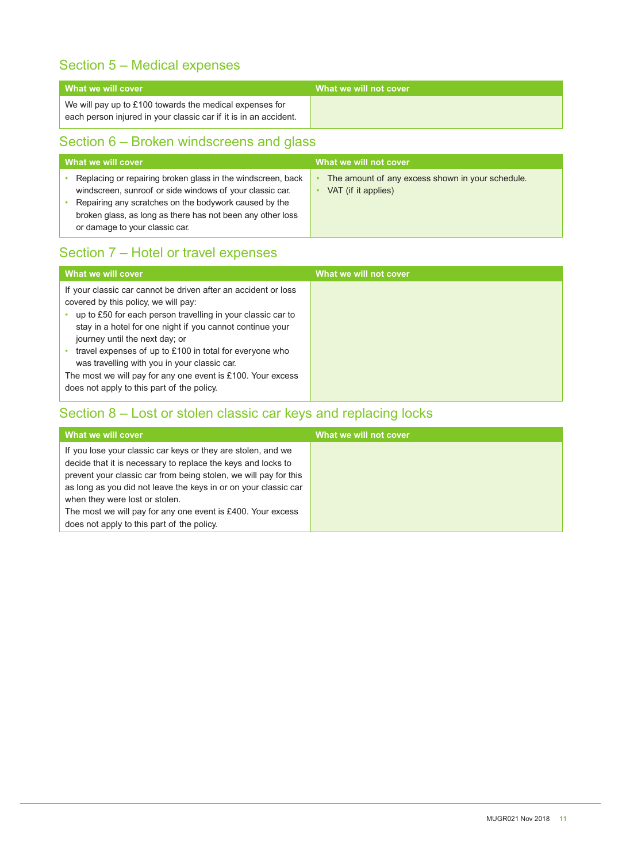# Section 5 – Medical expenses

| What we will cover                                                                                                          | What we will not cover |
|-----------------------------------------------------------------------------------------------------------------------------|------------------------|
| We will pay up to £100 towards the medical expenses for<br>each person injured in your classic car if it is in an accident. |                        |

# Section 6 – Broken windscreens and glass

| What we will cover                                                                                                                                                                                                                                                               | What we will not cover                                                       |
|----------------------------------------------------------------------------------------------------------------------------------------------------------------------------------------------------------------------------------------------------------------------------------|------------------------------------------------------------------------------|
| Replacing or repairing broken glass in the windscreen, back<br>windscreen, sunroof or side windows of your classic car.<br>Repairing any scratches on the bodywork caused by the<br>broken glass, as long as there has not been any other loss<br>or damage to your classic car. | The amount of any excess shown in your schedule.<br>٠<br>VAT (if it applies) |

# Section 7 – Hotel or travel expenses

| What we will cover                                                                                                                                                                                                                                                                                                                                                                                                                                                                           | What we will not cover |
|----------------------------------------------------------------------------------------------------------------------------------------------------------------------------------------------------------------------------------------------------------------------------------------------------------------------------------------------------------------------------------------------------------------------------------------------------------------------------------------------|------------------------|
| If your classic car cannot be driven after an accident or loss<br>covered by this policy, we will pay:<br>up to £50 for each person travelling in your classic car to<br>stay in a hotel for one night if you cannot continue your<br>journey until the next day; or<br>travel expenses of up to £100 in total for everyone who<br>was travelling with you in your classic car.<br>The most we will pay for any one event is £100. Your excess<br>does not apply to this part of the policy. |                        |

# Section 8 – Lost or stolen classic car keys and replacing locks

| What we will cover                                               | What we will not cover |
|------------------------------------------------------------------|------------------------|
| If you lose your classic car keys or they are stolen, and we     |                        |
| decide that it is necessary to replace the keys and locks to     |                        |
| prevent your classic car from being stolen, we will pay for this |                        |
| as long as you did not leave the keys in or on your classic car  |                        |
| when they were lost or stolen.                                   |                        |
| The most we will pay for any one event is £400. Your excess      |                        |
| does not apply to this part of the policy.                       |                        |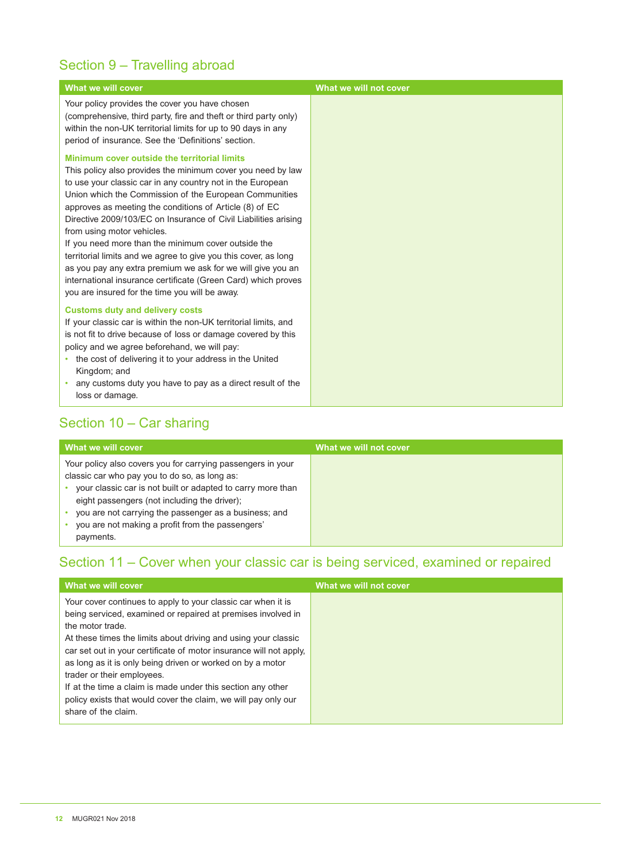# Section 9 – Travelling abroad

| What we will cover                                                                                                                                                                                                                                                                                                                                                                                                                                                                                                                                                                                                                                                                                          | What we will not cover |
|-------------------------------------------------------------------------------------------------------------------------------------------------------------------------------------------------------------------------------------------------------------------------------------------------------------------------------------------------------------------------------------------------------------------------------------------------------------------------------------------------------------------------------------------------------------------------------------------------------------------------------------------------------------------------------------------------------------|------------------------|
| Your policy provides the cover you have chosen<br>(comprehensive, third party, fire and theft or third party only)<br>within the non-UK territorial limits for up to 90 days in any<br>period of insurance. See the 'Definitions' section.                                                                                                                                                                                                                                                                                                                                                                                                                                                                  |                        |
| Minimum cover outside the territorial limits<br>This policy also provides the minimum cover you need by law<br>to use your classic car in any country not in the European<br>Union which the Commission of the European Communities<br>approves as meeting the conditions of Article (8) of EC<br>Directive 2009/103/EC on Insurance of Civil Liabilities arising<br>from using motor vehicles.<br>If you need more than the minimum cover outside the<br>territorial limits and we agree to give you this cover, as long<br>as you pay any extra premium we ask for we will give you an<br>international insurance certificate (Green Card) which proves<br>you are insured for the time you will be away. |                        |
| <b>Customs duty and delivery costs</b><br>If your classic car is within the non-UK territorial limits, and<br>is not fit to drive because of loss or damage covered by this<br>policy and we agree beforehand, we will pay:<br>• the cost of delivering it to your address in the United<br>Kingdom; and<br>• any customs duty you have to pay as a direct result of the<br>loss or damage.                                                                                                                                                                                                                                                                                                                 |                        |

# Section 10 – Car sharing

| What we will cover                                                                                                                                                                                                                                                                                                                       | What we will not cover |
|------------------------------------------------------------------------------------------------------------------------------------------------------------------------------------------------------------------------------------------------------------------------------------------------------------------------------------------|------------------------|
| Your policy also covers you for carrying passengers in your<br>classic car who pay you to do so, as long as:<br>your classic car is not built or adapted to carry more than<br>eight passengers (not including the driver);<br>you are not carrying the passenger as a business; and<br>you are not making a profit from the passengers' |                        |

# Section 11 – Cover when your classic car is being serviced, examined or repaired

| What we will cover                                                                                                                                                                                                                                                                                                                                                                                                                                                                                                                           | What we will not cover |
|----------------------------------------------------------------------------------------------------------------------------------------------------------------------------------------------------------------------------------------------------------------------------------------------------------------------------------------------------------------------------------------------------------------------------------------------------------------------------------------------------------------------------------------------|------------------------|
| Your cover continues to apply to your classic car when it is<br>being serviced, examined or repaired at premises involved in<br>the motor trade.<br>At these times the limits about driving and using your classic<br>car set out in your certificate of motor insurance will not apply.<br>as long as it is only being driven or worked on by a motor<br>trader or their employees.<br>If at the time a claim is made under this section any other<br>policy exists that would cover the claim, we will pay only our<br>share of the claim. |                        |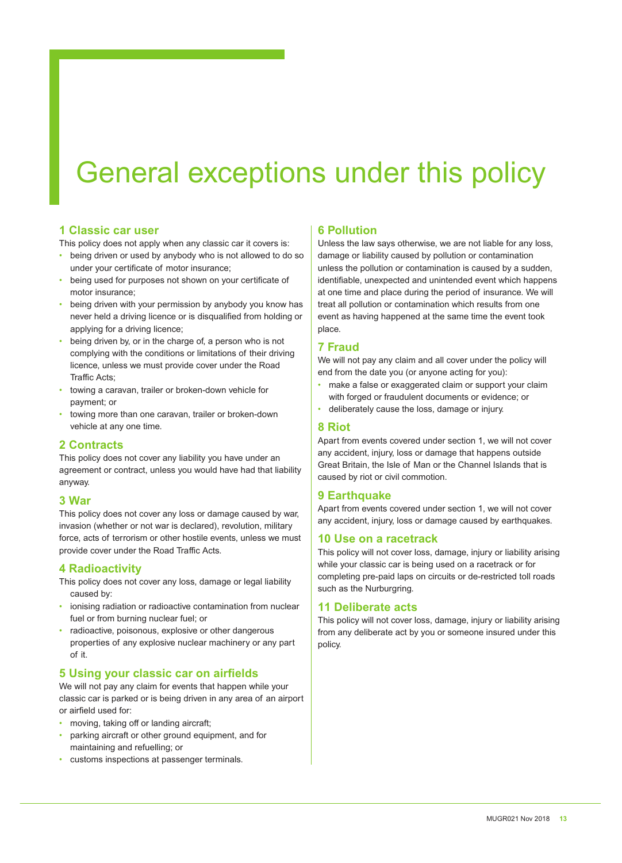# General exceptions under this policy

# **1 Classic car user**

This policy does not apply when any classic car it covers is:

- being driven or used by anybody who is not allowed to do so under your certificate of motor insurance;
- being used for purposes not shown on your certificate of motor insurance;
- being driven with your permission by anybody you know has never held a driving licence or is disqualified from holding or applying for a driving licence;
- being driven by, or in the charge of, a person who is not complying with the conditions or limitations of their driving licence, unless we must provide cover under the Road Traffic Acts;
- towing a caravan, trailer or broken-down vehicle for payment; or
- towing more than one caravan, trailer or broken-down vehicle at any one time.

# **2 Contracts**

This policy does not cover any liability you have under an agreement or contract, unless you would have had that liability anyway.

#### **3 War**

This policy does not cover any loss or damage caused by war, invasion (whether or not war is declared), revolution, military force, acts of terrorism or other hostile events, unless we must provide cover under the Road Traffic Acts.

#### **4 Radioactivity**

- This policy does not cover any loss, damage or legal liability caused by:
- ionising radiation or radioactive contamination from nuclear fuel or from burning nuclear fuel; or
- radioactive, poisonous, explosive or other dangerous properties of any explosive nuclear machinery or any part of it.

# **5 Using your classic car on airfields**

We will not pay any claim for events that happen while your classic car is parked or is being driven in any area of an airport or airfield used for:

- moving, taking off or landing aircraft;
- parking aircraft or other ground equipment, and for maintaining and refuelling; or
- customs inspections at passenger terminals.

# **6 Pollution**

Unless the law says otherwise, we are not liable for any loss, damage or liability caused by pollution or contamination unless the pollution or contamination is caused by a sudden, identifiable, unexpected and unintended event which happens at one time and place during the period of insurance. We will treat all pollution or contamination which results from one event as having happened at the same time the event took place.

# **7 Fraud**

We will not pay any claim and all cover under the policy will end from the date you (or anyone acting for you):

- make a false or exaggerated claim or support your claim with forged or fraudulent documents or evidence; or
- deliberately cause the loss, damage or injury.

# **8 Riot**

Apart from events covered under section 1, we will not cover any accident, injury, loss or damage that happens outside Great Britain, the Isle of Man or the Channel Islands that is caused by riot or civil commotion.

# **9 Earthquake**

Apart from events covered under section 1, we will not cover any accident, injury, loss or damage caused by earthquakes.

# **10 Use on a racetrack**

This policy will not cover loss, damage, injury or liability arising while your classic car is being used on a racetrack or for completing pre-paid laps on circuits or de-restricted toll roads such as the Nurburgring.

# **11 Deliberate acts**

This policy will not cover loss, damage, injury or liability arising from any deliberate act by you or someone insured under this policy.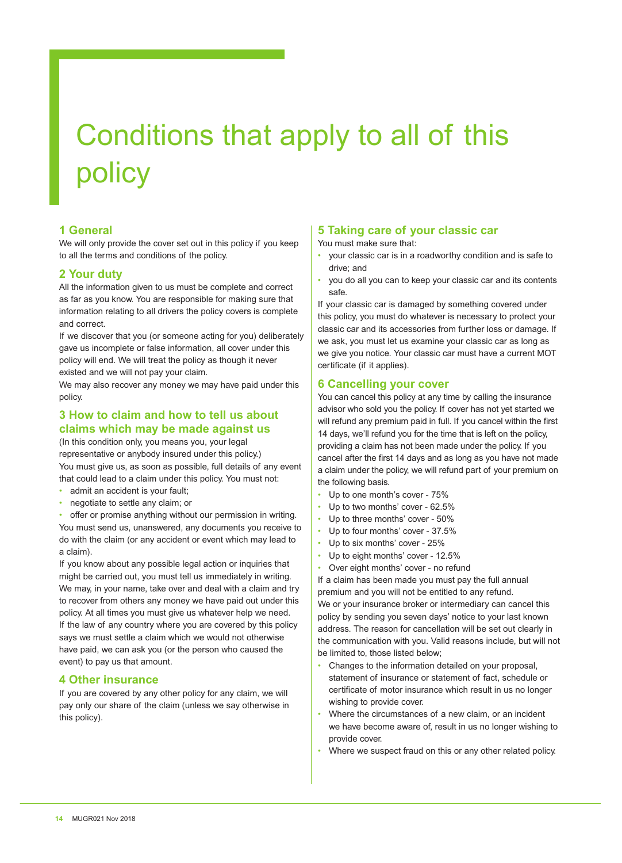# Conditions that apply to all of this policy

# **1 General**

We will only provide the cover set out in this policy if you keep to all the terms and conditions of the policy.

#### **2 Your duty**

All the information given to us must be complete and correct as far as you know. You are responsible for making sure that information relating to all drivers the policy covers is complete and correct.

If we discover that you (or someone acting for you) deliberately gave us incomplete or false information, all cover under this policy will end. We will treat the policy as though it never existed and we will not pay your claim.

We may also recover any money we may have paid under this policy.

#### **3 How to claim and how to tell us about claims which may be made against us**

(In this condition only, you means you, your legal representative or anybody insured under this policy.) You must give us, as soon as possible, full details of any event that could lead to a claim under this policy. You must not:

- admit an accident is your fault;
- negotiate to settle any claim; or

offer or promise anything without our permission in writing. You must send us, unanswered, any documents you receive to do with the claim (or any accident or event which may lead to a claim).

If you know about any possible legal action or inquiries that might be carried out, you must tell us immediately in writing. We may, in your name, take over and deal with a claim and try to recover from others any money we have paid out under this policy. At all times you must give us whatever help we need. If the law of any country where you are covered by this policy says we must settle a claim which we would not otherwise have paid, we can ask you (or the person who caused the event) to pay us that amount.

# **4 Other insurance**

If you are covered by any other policy for any claim, we will pay only our share of the claim (unless we say otherwise in this policy).

# **5 Taking care of your classic car**

You must make sure that:

- your classic car is in a roadworthy condition and is safe to drive; and
- you do all you can to keep your classic car and its contents safe.

If your classic car is damaged by something covered under this policy, you must do whatever is necessary to protect your classic car and its accessories from further loss or damage. If we ask, you must let us examine your classic car as long as we give you notice. Your classic car must have a current MOT certificate (if it applies).

# **6 Cancelling your cover**

You can cancel this policy at any time by calling the insurance advisor who sold you the policy. If cover has not yet started we will refund any premium paid in full. If you cancel within the first 14 days, we'll refund you for the time that is left on the policy, providing a claim has not been made under the policy. If you cancel after the first 14 days and as long as you have not made a claim under the policy, we will refund part of your premium on the following basis.

- Up to one month's cover 75%
- Up to two months' cover 62.5%
- Up to three months' cover 50%
- Up to four months' cover 37.5%
- Up to six months' cover 25%
- Up to eight months' cover 12.5%
- Over eight months' cover no refund

If a claim has been made you must pay the full annual premium and you will not be entitled to any refund. We or your insurance broker or intermediary can cancel this policy by sending you seven days' notice to your last known address. The reason for cancellation will be set out clearly in the communication with you. Valid reasons include, but will not be limited to, those listed below;

- Changes to the information detailed on your proposal, statement of insurance or statement of fact, schedule or certificate of motor insurance which result in us no longer wishing to provide cover.
- Where the circumstances of a new claim, or an incident we have become aware of, result in us no longer wishing to provide cover.
- Where we suspect fraud on this or any other related policy.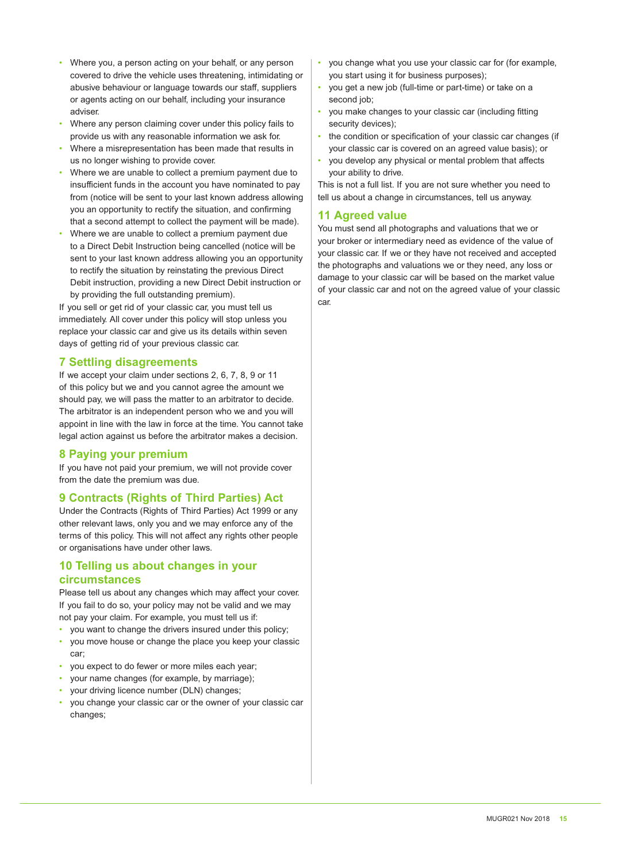- Where you, a person acting on your behalf, or any person covered to drive the vehicle uses threatening, intimidating or abusive behaviour or language towards our staff, suppliers or agents acting on our behalf, including your insurance adviser.
- Where any person claiming cover under this policy fails to provide us with any reasonable information we ask for.
- Where a misrepresentation has been made that results in us no longer wishing to provide cover.
- Where we are unable to collect a premium payment due to insufficient funds in the account you have nominated to pay from (notice will be sent to your last known address allowing you an opportunity to rectify the situation, and confirming that a second attempt to collect the payment will be made).
- Where we are unable to collect a premium payment due to a Direct Debit Instruction being cancelled (notice will be sent to your last known address allowing you an opportunity to rectify the situation by reinstating the previous Direct Debit instruction, providing a new Direct Debit instruction or by providing the full outstanding premium).

If you sell or get rid of your classic car, you must tell us immediately. All cover under this policy will stop unless you replace your classic car and give us its details within seven days of getting rid of your previous classic car.

# **7 Settling disagreements**

If we accept your claim under sections 2, 6, 7, 8, 9 or 11 of this policy but we and you cannot agree the amount we should pay, we will pass the matter to an arbitrator to decide. The arbitrator is an independent person who we and you will appoint in line with the law in force at the time. You cannot take legal action against us before the arbitrator makes a decision.

# **8 Paying your premium**

If you have not paid your premium, we will not provide cover from the date the premium was due.

# **9 Contracts (Rights of Third Parties) Act**

Under the Contracts (Rights of Third Parties) Act 1999 or any other relevant laws, only you and we may enforce any of the terms of this policy. This will not affect any rights other people or organisations have under other laws.

## **10 Telling us about changes in your circumstances**

Please tell us about any changes which may affect your cover. If you fail to do so, your policy may not be valid and we may not pay your claim. For example, you must tell us if:

- you want to change the drivers insured under this policy;
- you move house or change the place you keep your classic car;
- you expect to do fewer or more miles each year;
- your name changes (for example, by marriage);
- your driving licence number (DLN) changes;
- you change your classic car or the owner of your classic car changes;
- you change what you use your classic car for (for example, you start using it for business purposes);
- you get a new job (full-time or part-time) or take on a second job;
- you make changes to your classic car (including fitting security devices);
- the condition or specification of your classic car changes (if your classic car is covered on an agreed value basis); or
- you develop any physical or mental problem that affects your ability to drive.

This is not a full list. If you are not sure whether you need to tell us about a change in circumstances, tell us anyway.

# **11 Agreed value**

You must send all photographs and valuations that we or your broker or intermediary need as evidence of the value of your classic car. If we or they have not received and accepted the photographs and valuations we or they need, any loss or damage to your classic car will be based on the market value of your classic car and not on the agreed value of your classic car.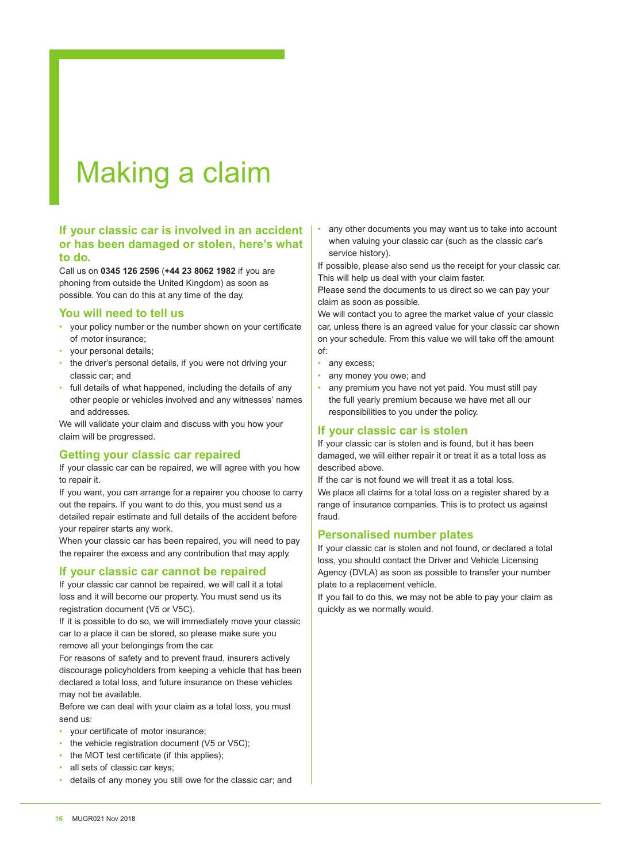# Making a claim

# **If your classic car is involved in an accident or has been damaged or stolen, here's what to do.**

Call us on **0345 126 2596** (**+44 23 8062 1982** if you are phoning from outside the United Kingdom) as soon as possible. You can do this at any time of the day.

#### **You will need to tell us**

- your policy number or the number shown on your certificate of motor insurance;
- your personal details;
- the driver's personal details, if you were not driving your classic car; and
- full details of what happened, including the details of any other people or vehicles involved and any witnesses' names and addresses.

We will validate your claim and discuss with you how your claim will be progressed.

# **Getting your classic car repaired**

If your classic car can be repaired, we will agree with you how to repair it.

If you want, you can arrange for a repairer you choose to carry out the repairs. If you want to do this, you must send us a detailed repair estimate and full details of the accident before your repairer starts any work.

When your classic car has been repaired, you will need to pay the repairer the excess and any contribution that may apply.

# **If your classic car cannot be repaired**

If your classic car cannot be repaired, we will call it a total loss and it will become our property. You must send us its registration document (V5 or V5C).

If it is possible to do so, we will immediately move your classic car to a place it can be stored, so please make sure you remove all your belongings from the car.

For reasons of safety and to prevent fraud, insurers actively discourage policyholders from keeping a vehicle that has been declared a total loss, and future insurance on these vehicles may not be available.

Before we can deal with your claim as a total loss, you must send us:

- your certificate of motor insurance;
- the vehicle registration document (V5 or V5C);
- the MOT test certificate (if this applies);
- all sets of classic car keys;
- details of any money you still owe for the classic car; and

• any other documents you may want us to take into account when valuing your classic car (such as the classic car's service history).

If possible, please also send us the receipt for your classic car. This will help us deal with your claim faster.

Please send the documents to us direct so we can pay your claim as soon as possible.

We will contact you to agree the market value of your classic car, unless there is an agreed value for your classic car shown on your schedule. From this value we will take off the amount of:

- any excess;
- any money you owe; and
- any premium you have not yet paid. You must still pay the full yearly premium because we have met all our responsibilities to you under the policy.

#### **If your classic car is stolen**

If your classic car is stolen and is found, but it has been damaged, we will either repair it or treat it as a total loss as described above.

If the car is not found we will treat it as a total loss.

We place all claims for a total loss on a register shared by a range of insurance companies. This is to protect us against fraud.

#### **Personalised number plates**

If your classic car is stolen and not found, or declared a total loss, you should contact the Driver and Vehicle Licensing Agency (DVLA) as soon as possible to transfer your number plate to a replacement vehicle.

If you fail to do this, we may not be able to pay your claim as quickly as we normally would.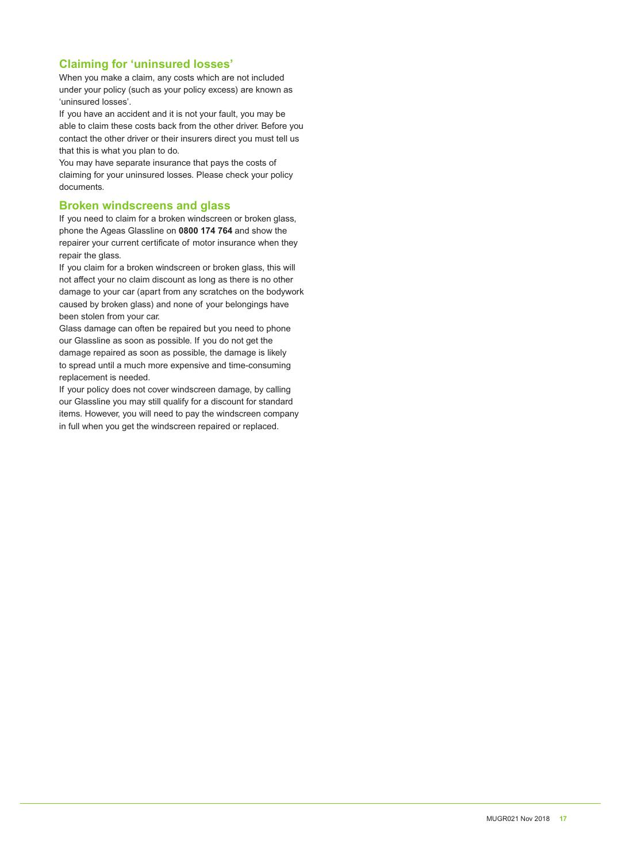# **Claiming for 'uninsured losses'**

When you make a claim, any costs which are not included under your policy (such as your policy excess) are known as 'uninsured losses'.

If you have an accident and it is not your fault, you may be able to claim these costs back from the other driver. Before you contact the other driver or their insurers direct you must tell us that this is what you plan to do.

You may have separate insurance that pays the costs of claiming for your uninsured losses. Please check your policy documents.

## **Broken windscreens and glass**

If you need to claim for a broken windscreen or broken glass, phone the Ageas Glassline on **0800 174 764** and show the repairer your current certificate of motor insurance when they repair the glass.

If you claim for a broken windscreen or broken glass, this will not affect your no claim discount as long as there is no other damage to your car (apart from any scratches on the bodywork caused by broken glass) and none of your belongings have been stolen from your car.

Glass damage can often be repaired but you need to phone our Glassline as soon as possible. If you do not get the damage repaired as soon as possible, the damage is likely to spread until a much more expensive and time-consuming replacement is needed.

If your policy does not cover windscreen damage, by calling our Glassline you may still qualify for a discount for standard items. However, you will need to pay the windscreen company in full when you get the windscreen repaired or replaced.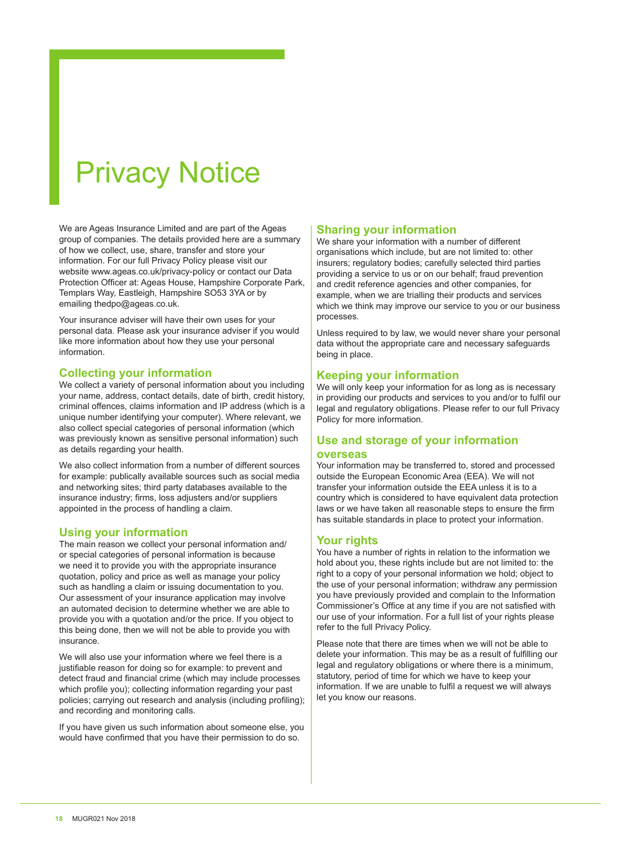# Privacy Notice

We are Ageas Insurance Limited and are part of the Ageas group of companies. The details provided here are a summary of how we collect, use, share, transfer and store your information. For our full Privacy Policy please visit our website www.ageas.co.uk/privacy-policy or contact our Data Protection Officer at: Ageas House, Hampshire Corporate Park, Templars Way, Eastleigh, Hampshire SO53 3YA or by emailing thedpo@ageas.co.uk.

Your insurance adviser will have their own uses for your personal data. Please ask your insurance adviser if you would like more information about how they use your personal information.

## **Collecting your information**

We collect a variety of personal information about you including your name, address, contact details, date of birth, credit history, criminal offences, claims information and IP address (which is a unique number identifying your computer). Where relevant, we also collect special categories of personal information (which was previously known as sensitive personal information) such as details regarding your health.

We also collect information from a number of different sources for example: publically available sources such as social media and networking sites; third party databases available to the insurance industry; firms, loss adjusters and/or suppliers appointed in the process of handling a claim.

#### **Using your information**

The main reason we collect your personal information and/ or special categories of personal information is because we need it to provide you with the appropriate insurance quotation, policy and price as well as manage your policy such as handling a claim or issuing documentation to you. Our assessment of your insurance application may involve an automated decision to determine whether we are able to provide you with a quotation and/or the price. If you object to this being done, then we will not be able to provide you with insurance.

We will also use your information where we feel there is a justifiable reason for doing so for example: to prevent and detect fraud and financial crime (which may include processes which profile you); collecting information regarding your past policies; carrying out research and analysis (including profiling); and recording and monitoring calls.

If you have given us such information about someone else, you would have confirmed that you have their permission to do so.

# **Sharing your information**

We share your information with a number of different organisations which include, but are not limited to: other insurers; regulatory bodies; carefully selected third parties providing a service to us or on our behalf; fraud prevention and credit reference agencies and other companies, for example, when we are trialling their products and services which we think may improve our service to you or our business processes.

Unless required to by law, we would never share your personal data without the appropriate care and necessary safeguards being in place.

## **Keeping your information**

We will only keep your information for as long as is necessary in providing our products and services to you and/or to fulfil our legal and regulatory obligations. Please refer to our full Privacy Policy for more information.

# **Use and storage of your information**

#### **overseas**

Your information may be transferred to, stored and processed outside the European Economic Area (EEA). We will not transfer your information outside the EEA unless it is to a country which is considered to have equivalent data protection laws or we have taken all reasonable steps to ensure the firm has suitable standards in place to protect your information.

# **Your rights**

You have a number of rights in relation to the information we hold about you, these rights include but are not limited to: the right to a copy of your personal information we hold; object to the use of your personal information; withdraw any permission you have previously provided and complain to the Information Commissioner's Office at any time if you are not satisfied with our use of your information. For a full list of your rights please refer to the full Privacy Policy.

Please note that there are times when we will not be able to delete your information. This may be as a result of fulfilling our legal and regulatory obligations or where there is a minimum, statutory, period of time for which we have to keep your information. If we are unable to fulfil a request we will always let you know our reasons.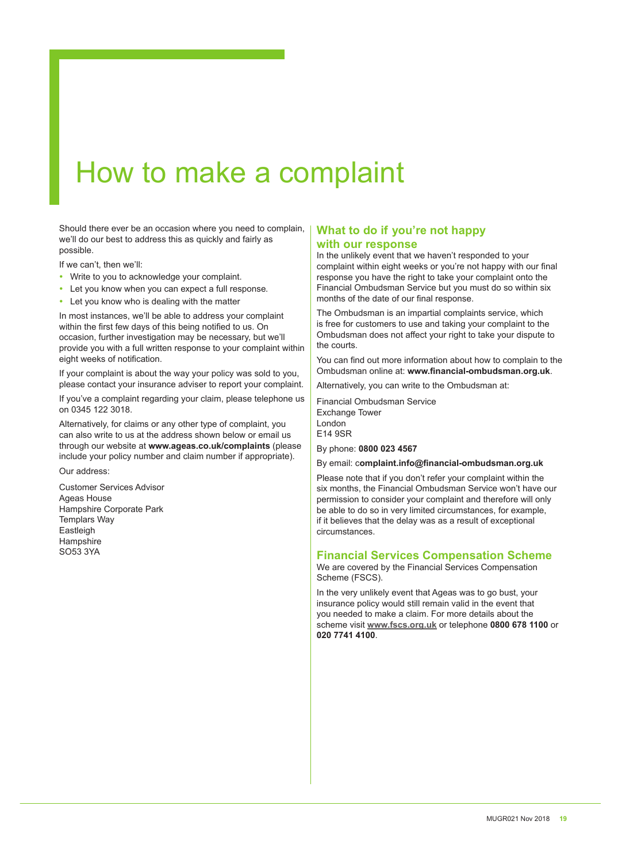# How to make a complaint

Should there ever be an occasion where you need to complain, we'll do our best to address this as quickly and fairly as possible.

If we can't, then we'll:

- Write to you to acknowledge your complaint.
- Let you know when you can expect a full response.
- Let you know who is dealing with the matter

In most instances, we'll be able to address your complaint within the first few days of this being notified to us. On occasion, further investigation may be necessary, but we'll provide you with a full written response to your complaint within eight weeks of notification.

If your complaint is about the way your policy was sold to you, please contact your insurance adviser to report your complaint.

If you've a complaint regarding your claim, please telephone us on 0345 122 3018.

Alternatively, for claims or any other type of complaint, you can also write to us at the address shown below or email us through our website at **www.ageas.co.uk/complaints** (please include your policy number and claim number if appropriate).

Our address:

Customer Services Advisor Ageas House Hampshire Corporate Park Templars Way **Eastleigh Hampshire** SO53 3YA

# **What to do if you're not happy with our response**

In the unlikely event that we haven't responded to your complaint within eight weeks or you're not happy with our final response you have the right to take your complaint onto the Financial Ombudsman Service but you must do so within six months of the date of our final response.

The Ombudsman is an impartial complaints service, which is free for customers to use and taking your complaint to the Ombudsman does not affect your right to take your dispute to the courts.

You can find out more information about how to complain to the Ombudsman online at: **www.financial-ombudsman.org.uk**.

Alternatively, you can write to the Ombudsman at:

Financial Ombudsman Service Exchange Tower London E14 9SR

By phone: **0800 023 4567**

By email: c**omplaint.info@financial-ombudsman.org.uk**

Please note that if you don't refer your complaint within the six months, the Financial Ombudsman Service won't have our permission to consider your complaint and therefore will only be able to do so in very limited circumstances, for example, if it believes that the delay was as a result of exceptional circumstances.

#### **Financial Services Compensation Scheme**

We are covered by the Financial Services Compensation Scheme (FSCS).

In the very unlikely event that Ageas was to go bust, your insurance policy would still remain valid in the event that you needed to make a claim. For more details about the scheme visit **www.fscs.org.uk** or telephone **0800 678 1100** or **020 7741 4100**.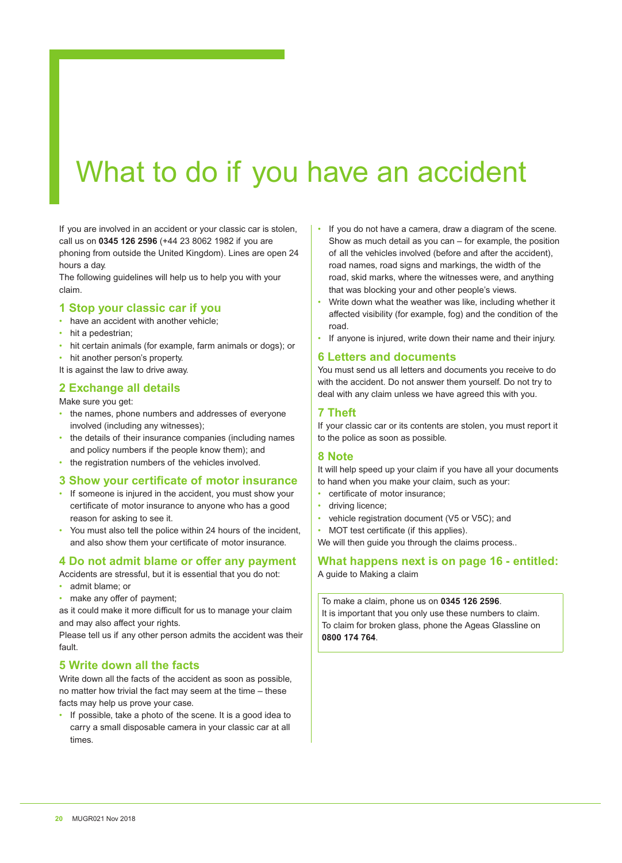# What to do if you have an accident

If you are involved in an accident or your classic car is stolen, call us on **0345 126 2596** (+44 23 8062 1982 if you are phoning from outside the United Kingdom). Lines are open 24 hours a day.

The following guidelines will help us to help you with your claim.

# **1 Stop your classic car if you**

- have an accident with another vehicle;
- hit a pedestrian;
- hit certain animals (for example, farm animals or dogs); or
- hit another person's property.

It is against the law to drive away.

# **2 Exchange all details**

Make sure you get:

- the names, phone numbers and addresses of everyone involved (including any witnesses);
- the details of their insurance companies (including names and policy numbers if the people know them); and
- the registration numbers of the vehicles involved.

#### **3 Show your certificate of motor insurance**

- If someone is injured in the accident, you must show your certificate of motor insurance to anyone who has a good reason for asking to see it.
- You must also tell the police within 24 hours of the incident, and also show them your certificate of motor insurance.

# **4 Do not admit blame or offer any payment**

Accidents are stressful, but it is essential that you do not:

- admit blame; or
- make any offer of payment;

as it could make it more difficult for us to manage your claim and may also affect your rights.

Please tell us if any other person admits the accident was their fault.

# **5 Write down all the facts**

Write down all the facts of the accident as soon as possible, no matter how trivial the fact may seem at the time – these facts may help us prove your case.

• If possible, take a photo of the scene. It is a good idea to carry a small disposable camera in your classic car at all times.

- If you do not have a camera, draw a diagram of the scene. Show as much detail as you can – for example, the position of all the vehicles involved (before and after the accident), road names, road signs and markings, the width of the road, skid marks, where the witnesses were, and anything that was blocking your and other people's views.
- Write down what the weather was like, including whether it affected visibility (for example, fog) and the condition of the road.
- If anyone is injured, write down their name and their injury.

#### **6 Letters and documents**

You must send us all letters and documents you receive to do with the accident. Do not answer them yourself. Do not try to deal with any claim unless we have agreed this with you.

#### **7 Theft**

If your classic car or its contents are stolen, you must report it to the police as soon as possible.

#### **8 Note**

It will help speed up your claim if you have all your documents to hand when you make your claim, such as your:

- certificate of motor insurance;
- driving licence:
- vehicle registration document (V5 or V5C); and
- MOT test certificate (if this applies).

We will then guide you through the claims process..

**What happens next is on page 16 - entitled:**  A guide to Making a claim

To make a claim, phone us on **0345 126 2596**. It is important that you only use these numbers to claim. To claim for broken glass, phone the Ageas Glassline on **0800 174 764**.